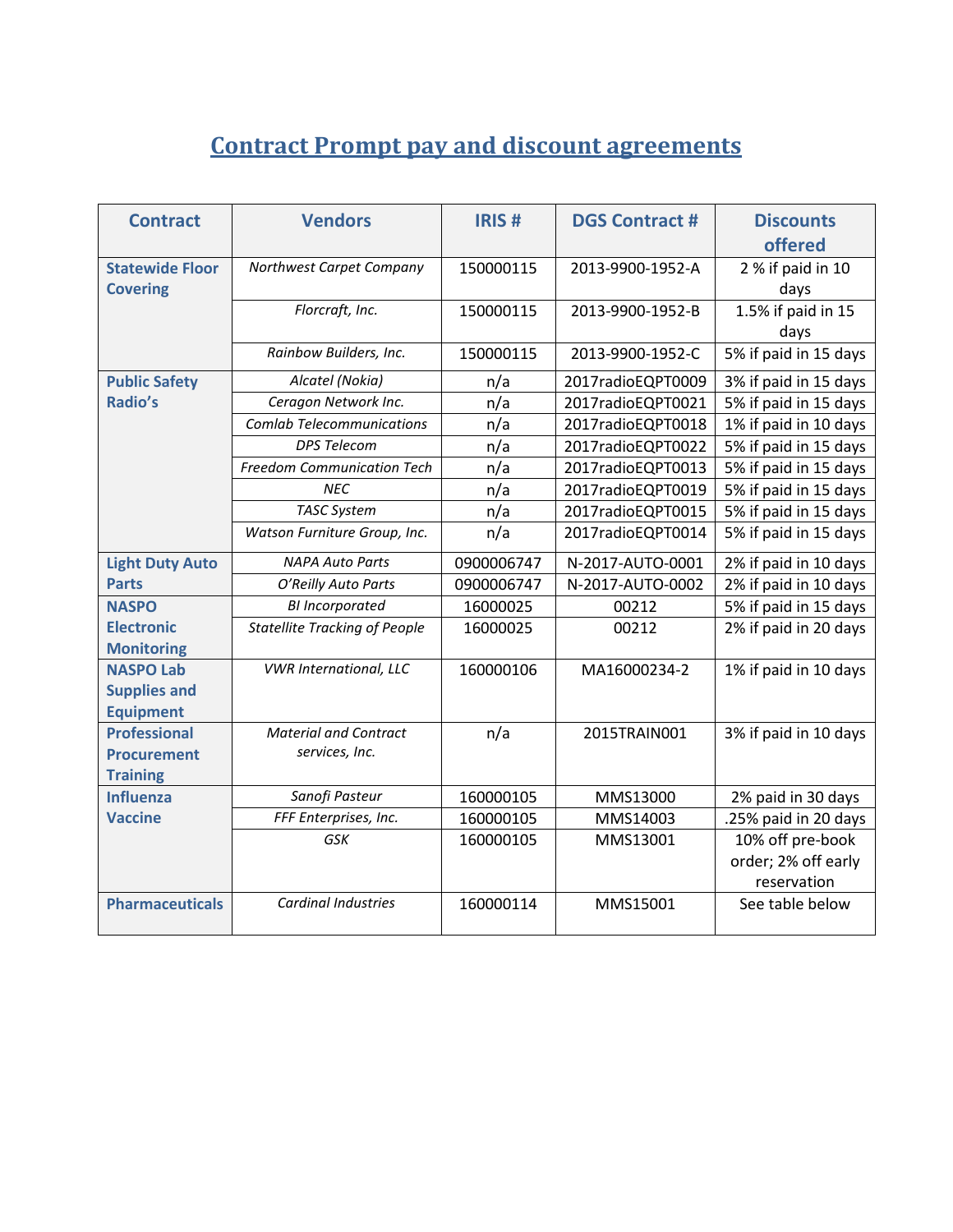## **Contract Prompt pay and discount agreements**

| <b>Contract</b>                                              | <b>Vendors</b>                                 | <b>IRIS#</b> | <b>DGS Contract #</b> | <b>Discounts</b><br>offered |  |
|--------------------------------------------------------------|------------------------------------------------|--------------|-----------------------|-----------------------------|--|
| <b>Statewide Floor</b><br><b>Covering</b>                    | Northwest Carpet Company                       | 150000115    | 2013-9900-1952-A      | 2 % if paid in 10<br>days   |  |
|                                                              | Florcraft, Inc.                                | 150000115    | 2013-9900-1952-B      | 1.5% if paid in 15<br>days  |  |
|                                                              | Rainbow Builders, Inc.                         | 150000115    | 2013-9900-1952-C      | 5% if paid in 15 days       |  |
| <b>Public Safety</b>                                         | Alcatel (Nokia)                                | n/a          | 2017radioEQPT0009     | 3% if paid in 15 days       |  |
| Radio's                                                      | Ceragon Network Inc.                           | n/a          | 2017radioEQPT0021     | 5% if paid in 15 days       |  |
|                                                              | <b>Comlab Telecommunications</b>               | n/a          | 2017radioEQPT0018     | 1% if paid in 10 days       |  |
|                                                              | <b>DPS Telecom</b>                             | n/a          | 2017radioEQPT0022     | 5% if paid in 15 days       |  |
|                                                              | <b>Freedom Communication Tech</b>              | n/a          | 2017radioEQPT0013     | 5% if paid in 15 days       |  |
|                                                              | <b>NFC</b>                                     | n/a          | 2017radioEQPT0019     | 5% if paid in 15 days       |  |
|                                                              | <b>TASC System</b>                             | n/a          | 2017radioEQPT0015     | 5% if paid in 15 days       |  |
|                                                              | Watson Furniture Group, Inc.                   | n/a          | 2017radioEQPT0014     | 5% if paid in 15 days       |  |
| <b>Light Duty Auto</b>                                       | <b>NAPA Auto Parts</b>                         | 0900006747   | N-2017-AUTO-0001      | 2% if paid in 10 days       |  |
| <b>Parts</b>                                                 | O'Reilly Auto Parts                            | 0900006747   | N-2017-AUTO-0002      | 2% if paid in 10 days       |  |
| <b>NASPO</b>                                                 | <b>BI</b> Incorporated                         | 16000025     | 00212                 | 5% if paid in 15 days       |  |
| <b>Electronic</b><br><b>Monitoring</b>                       | <b>Statellite Tracking of People</b>           | 16000025     | 00212                 | 2% if paid in 20 days       |  |
| <b>NASPO Lab</b><br><b>Supplies and</b><br><b>Equipment</b>  | <b>VWR International, LLC</b>                  | 160000106    | MA16000234-2          | 1% if paid in 10 days       |  |
| <b>Professional</b><br><b>Procurement</b><br><b>Training</b> | <b>Material and Contract</b><br>services, Inc. | n/a          | 2015TRAIN001          | 3% if paid in 10 days       |  |
| <b>Influenza</b>                                             | Sanofi Pasteur                                 | 160000105    | MMS13000              | 2% paid in 30 days          |  |
| <b>Vaccine</b>                                               | FFF Enterprises, Inc.                          | 160000105    | MMS14003              | .25% paid in 20 days        |  |
|                                                              | GSK                                            | 160000105    | MMS13001              | 10% off pre-book            |  |
|                                                              |                                                |              |                       | order; 2% off early         |  |
|                                                              |                                                |              |                       | reservation                 |  |
| <b>Pharmaceuticals</b>                                       | <b>Cardinal Industries</b>                     | 160000114    | MMS15001              | See table below             |  |